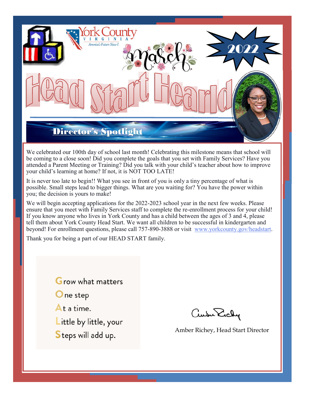

We celebrated our 100th day of school last month! Celebrating this milestone means that school will be coming to a close soon! Did you complete the goals that you set with Family Services? Have you attended a Parent Meeting or Training? Did you talk with your child's teacher about how to improve your child's learning at home? If not, it is NOT TOO LATE!

It is never too late to begin!! What you see in front of you is only a tiny percentage of what is possible. Small steps lead to bigger things. What are you waiting for? You have the power within you; the decision is yours to make!

We will begin accepting applications for the 2022-2023 school year in the next few weeks. Please ensure that you meet with Family Services staff to complete the re-enrollment process for your child! If you know anyone who lives in York County and has a child between the ages of 3 and 4, please tell them about York County Head Start. We want all children to be successful in kindergarten and beyond! For enrollment questions, please call 757-890-3888 or visit www.yorkcounty.gov/headstart.

Thank you for being a part of our HEAD START family.

**Grow what matters** ne step  $At a time.$ ittle by little, your Steps will add up.

ausu Erchy

Amber Richey, Head Start Director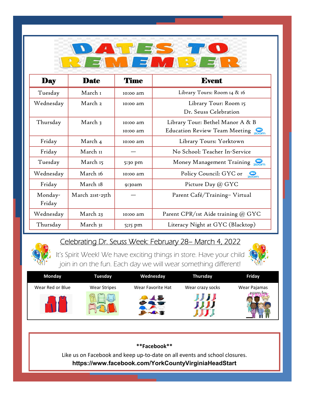

| <b>Day</b>        | <b>Date</b>        | <b>Time</b>          | <b>Event</b>                                                      |  |
|-------------------|--------------------|----------------------|-------------------------------------------------------------------|--|
| Tuesday           | March 1            | 10:00 am             | Library Tours: Room 14 & 16                                       |  |
| Wednesday         | March <sub>2</sub> | 10:00 am             | Library Tour: Room 15<br>Dr. Seuss Celebration                    |  |
| Thursday          | March 3            | 10:00 am<br>10:00 am | Library Tour: Bethel Manor A & B<br>Education Review Team Meeting |  |
| Friday            | March 4            | 10:00 am             | Library Tours: Yorktown                                           |  |
| Friday            | March II           |                      | No School: Teacher In-Service                                     |  |
| Tuesday           | March 15           | 5:30 pm              | Money Management Training 200m                                    |  |
| Wednesday         | March 16           | 10:00 am             | Policy Council: GYC or<br>$\frac{1}{200m}$                        |  |
| Friday            | March 18           | 9:30am               | Picture Day @ GYC                                                 |  |
| Monday-<br>Friday | March 21st-25th    |                      | Parent Café/Training-Virtual                                      |  |
| Wednesday         | March 23           | 10:00 am             | Parent CPR/1st Aide training @ GYC                                |  |
| Thursday          | March 31           | 5;15 pm              | Literacy Night at GYC (Blacktop)                                  |  |

## Celebrating Dr. Seuss Week: February 28– March 4, 2022

It's Spirit Week! We have exciting things in store. Have your child join in on the fun. Each day we will wear something different!



| <b>Monday</b>    | Tuesday             | Wednesday         | Thursday         | Friday       |
|------------------|---------------------|-------------------|------------------|--------------|
| Wear Red or Blue | <b>Wear Stripes</b> | Wear Favorite Hat | Wear crazy socks | Wear Pajamas |
|                  |                     |                   |                  |              |

**\*\*Facebook\*\*** Like us on Facebook and keep up-to-date on all events and school closures. **https://www.facebook.com/YorkCountyVirginiaHeadStart**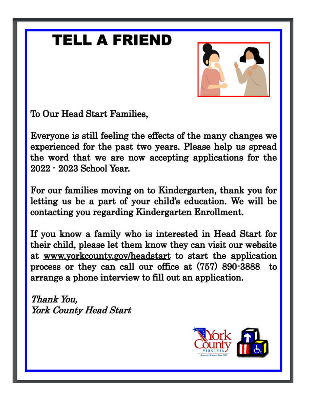# **TELL A FRIEND**



To Our Head Start Families,

Everyone is still feeling the effects of the many changes we experienced for the past two years. Please help us spread the word that we are now accepting applications for the 2022 - 2023 School Year.

For our families moving on to Kindergarten, thank you for letting us be a part of your child's education. We will be contacting you regarding Kindergarten Enrollment.

If you know a family who is interested in Head Start for their child, please let them know they can visit our website at www.yorkcounty.gov/headstart to start the application process or they can call our office at (757) 890-3888 to arrange a phone interview to fill out an application.

Thank You, York County Head Start

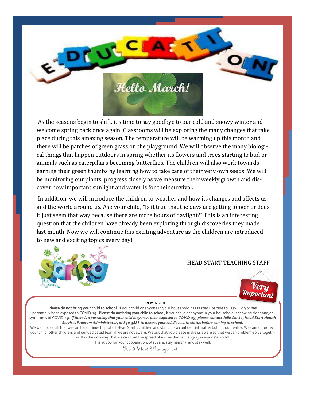

As the seasons begin to shift, it's time to say goodbye to our cold and snowy winter and welcome spring back once again. Classrooms will be exploring the many changes that take place during this amazing season. The temperature will be warming up this month and there will be patches of green grass on the playground. We will observe the many biological things that happen outdoors in spring whether its flowers and trees starting to bud or animals such as caterpillars becoming butterflies. The children will also work towards earning their green thumbs by learning how to take care of their very own seeds. We will be monitoring our plants' progress closely as we measure their weekly growth and discover how important sunlight and water is for their survival.

In addition, we will introduce the children to weather and how its changes and affects us and the world around us. Ask your child, "Is it true that the days are getting longer or does it just seem that way because there are more hours of daylight?" This is an interesting question that the children have already been exploring through discoveries they made last month. Now we will continue this exciting adventure as the children are introduced to new and exciting topics every day!



### HEAD START TEACHING STAFF



#### **REMINDER**

**Please do not bring your child to school**, if your child or anyone in your household has tested Positive to COVID-19 or has potentially been exposed to COVID-19. **Please do not bring your child to school,**if your child or anyone in your household is showing signs and/or symptoms of COVID-19. *If there is a possibility that your child may have been exposed to COVID-19, please contact Julie Conka, Head Start Health Services Program Administrator, at 890-3888 to discuss your child's health status before coming to school.*

We want to do all that we can to continue to protect Head Start's children and staff. It is a confidential matter but it is our reality. We cannot protect your child, other children, and our dedicated team if we are not aware. We ask that you please make us aware so that we can problem-solve together. It is the only way that we can limit the spread of a virus that is changing everyone's world!

Thank you for your cooperation. Stay safe, stay healthy, and stay well.

Head Start Management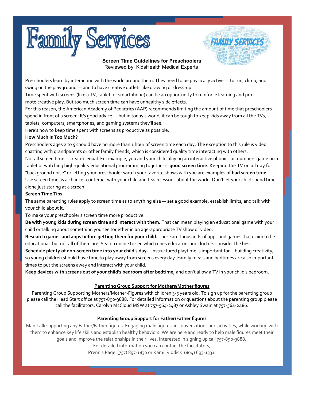



**Screen Time Guidelines for Preschoolers** Reviewed by: KidsHealth Medical Experts

Preschoolers learn by interacting with the world around them. They need to be physically active — to run, climb, and swing on the playground — and to have creative outlets like drawing or dress-up.

Time spent with screens (like a TV, tablet, or smartphone) can be an opportunity to reinforce learning and promote creative play. But too much screen time can have unhealthy side effects.

For this reason, the American Academy of Pediatrics (AAP) recommends limiting the amount of time that preschoolers spend in front of a screen. It's good advice — but in today's world, it can be tough to keep kids away from all the TVs, tablets, computers, smartphones, and gaming systems they'll see.

Here's how to keep time spent with screens as productive as possible.

#### **How Much Is Too Much?**

Preschoolers ages 2 to 5 should have no more than 1 hour of screen time each day. The exception to this rule is video chatting with grandparents or other family friends, which is considered quality time interacting with others.

Not all screen time is created equal. For example, you and your child playing an interactive phonics or numbers game on a tablet or watching high-quality educational programming together is **good screen time**. Keeping the TV on all day for "background noise" or letting your preschooler watch your favorite shows with you are examples of **bad screen time**. Use screen time as a chance to interact with your child and teach lessons about the world. Don't let your child spend time alone just staring at a screen.

#### **Screen Time Tips**

The same parenting rules apply to screen time as to anything else — set a good example, establish limits, and talk with your child about it.

To make your preschooler's screen time more productive:

**Be with young kids during screen time and interact with them.** That can mean playing an educational game with your child or talking about something you see together in an age-appropriate TV show or video.

**Research games and apps before getting them for your child.** There are thousands of apps and games that claim to be educational, but not all of them are. Search online to see which ones educators and doctors consider the best.

**Schedule plenty of non-screen time into your child's day.** Unstructured playtime is important for building creativity, so young children should have time to play away from screens every day. Family meals and bedtimes are also important times to put the screens away and interact with your child.

**Keep devices with screens out of your child's bedroom after bedtime,** and don't allow a TV in your child's bedroom.

#### **Parenting Group Support for Mothers/Mother figures**

Parenting Group Supporting Mothers/Mother-Figures with children 3-5 years old. To sign up for the parenting group please call the Head Start office at 757-890-3888. For detailed information or questions about the parenting group please call the facilitators, Carolyn McCloud MSW at 757-564-2487 or Ashley Swain at 757-564-2486.

#### **Parenting Group Support for Father/Father figures**

Man Talk supporting any Father/Father figures. Engaging male figures in conversations and activities, while working with them to enhance key life skills and establish healthy behaviors. We are here and ready to help male figures meet their goals and improve the relationships in their lives. Interested in signing up call 757-890-3888.

For detailed information you can contact the facilitators,

Prennis Page (757) 897-1830 or Kamil Riddick (804) 693-1331**.**